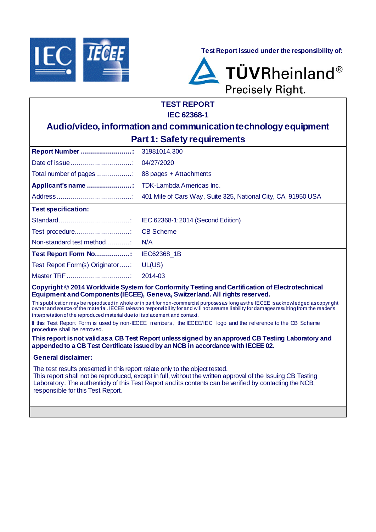

**Test Report issued under the responsibility of:**



# **TEST REPORT IEC 62368-1**

# **Audio/video, information and communication technology equipment Part 1: Safety requirements**

| <b>Test specification:</b>      |                                   |
|---------------------------------|-----------------------------------|
|                                 | IEC 62368-1:2014 (Second Edition) |
|                                 |                                   |
| Non-standard test method        | N/A                               |
| Test Report Form No             | IEC62368 1B                       |
| Test Report Form(s) Originator: | UL(US)                            |
|                                 | 2014-03                           |

**Copyright © 2014 Worldwide System for Conformity Testing and Certification of Electrotechnical Equipment and Components (IECEE), Geneva, Switzerland. All rights reserved.**

This publication may be reproduced in whole or in part for non-commercial purposes as long as the IECEE is acknowledged as copyright owner and source of the material. IECEE takes no responsibility for and will not assume liability for damages resulting from the reader's interpretation of the reproduced material due to its placement and context.

If this Test Report Form is used by non-IECEE members, the IECEE/IEC logo and the reference to the CB Scheme procedure shall be removed.

#### **This report is not valid as a CB Test Report unless signed by an approved CB Testing Laboratory and appended to a CB Test Certificate issued by an NCB in accordance with IECEE 02.**

### **General disclaimer:**

The test results presented in this report relate only to the object tested.

This report shall not be reproduced, except in full, without the written approval of the Issuing CB Testing Laboratory. The authenticity of this Test Report and its contents can be verified by contacting the NCB, responsible for this Test Report.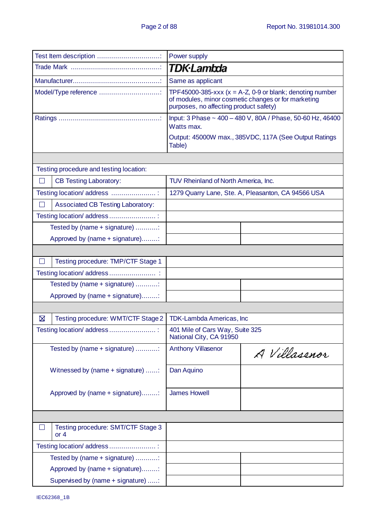| Test Item description                        | Power supply                                                                                                                                                  |  |  |  |
|----------------------------------------------|---------------------------------------------------------------------------------------------------------------------------------------------------------------|--|--|--|
|                                              | TDK·Lambda                                                                                                                                                    |  |  |  |
|                                              | Same as applicant                                                                                                                                             |  |  |  |
| Model/Type reference                         | TPF45000-385-xxx ( $x = A$ -Z, 0-9 or blank; denoting number<br>of modules, minor cosmetic changes or for marketing<br>purposes, no affecting product safety) |  |  |  |
|                                              | Input: 3 Phase ~ 400 - 480 V, 80A / Phase, 50-60 Hz, 46400<br>Watts max.                                                                                      |  |  |  |
|                                              | Output: 45000W max., 385VDC, 117A (See Output Ratings<br>Table)                                                                                               |  |  |  |
|                                              |                                                                                                                                                               |  |  |  |
| Testing procedure and testing location:      |                                                                                                                                                               |  |  |  |
| <b>CB Testing Laboratory:</b><br>П           | TUV Rheinland of North America, Inc.                                                                                                                          |  |  |  |
| Testing location/ address                    | 1279 Quarry Lane, Ste. A, Pleasanton, CA 94566 USA                                                                                                            |  |  |  |
| <b>Associated CB Testing Laboratory:</b>     |                                                                                                                                                               |  |  |  |
| Testing location/ address                    |                                                                                                                                                               |  |  |  |
| Tested by (name + signature)                 |                                                                                                                                                               |  |  |  |
| Approved by (name + signature):              |                                                                                                                                                               |  |  |  |
|                                              |                                                                                                                                                               |  |  |  |
| $\Box$<br>Testing procedure: TMP/CTF Stage 1 |                                                                                                                                                               |  |  |  |
|                                              |                                                                                                                                                               |  |  |  |
| Tested by (name + signature)                 |                                                                                                                                                               |  |  |  |
| Approved by (name + signature):              |                                                                                                                                                               |  |  |  |
|                                              |                                                                                                                                                               |  |  |  |
| ⊠<br>Testing procedure: WMT/CTF Stage 2      | <b>TDK-Lambda Americas, Inc</b>                                                                                                                               |  |  |  |
| Testing location/ address                    | 401 Mile of Cars Way, Suite 325<br>National City, CA 91950                                                                                                    |  |  |  |
| Tested by (name + signature)                 | <b>Anthony Villasenor</b><br>A Villasenor                                                                                                                     |  |  |  |
| Witnessed by (name + signature) :            | Dan Aquino                                                                                                                                                    |  |  |  |
| Approved by (name + signature):              | <b>James Howell</b>                                                                                                                                           |  |  |  |
|                                              |                                                                                                                                                               |  |  |  |
| Testing procedure: SMT/CTF Stage 3<br>or $4$ |                                                                                                                                                               |  |  |  |
| Testing location/ address                    |                                                                                                                                                               |  |  |  |
| Tested by (name + signature)                 |                                                                                                                                                               |  |  |  |
| Approved by (name + signature):              |                                                                                                                                                               |  |  |  |
| Supervised by (name + signature) :           |                                                                                                                                                               |  |  |  |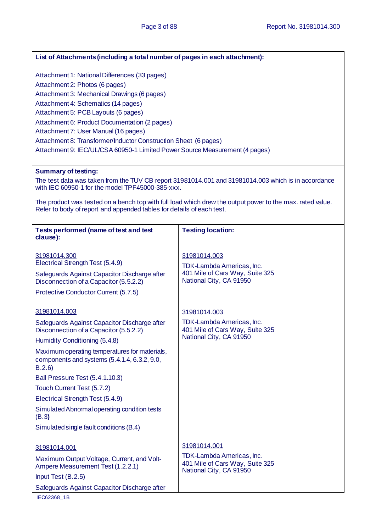| List of Attachments (including a total number of pages in each attachment):                            |                                                                                                           |  |  |
|--------------------------------------------------------------------------------------------------------|-----------------------------------------------------------------------------------------------------------|--|--|
|                                                                                                        |                                                                                                           |  |  |
| Attachment 1: National Differences (33 pages)                                                          |                                                                                                           |  |  |
| Attachment 2: Photos (6 pages)                                                                         |                                                                                                           |  |  |
| Attachment 3: Mechanical Drawings (6 pages)                                                            |                                                                                                           |  |  |
| Attachment 4: Schematics (14 pages)                                                                    |                                                                                                           |  |  |
| Attachment 5: PCB Layouts (6 pages)                                                                    |                                                                                                           |  |  |
| Attachment 6: Product Documentation (2 pages)<br>Attachment 7: User Manual (16 pages)                  |                                                                                                           |  |  |
| Attachment 8: Transformer/Inductor Construction Sheet (6 pages)                                        |                                                                                                           |  |  |
| Attachment 9: IEC/UL/CSA 60950-1 Limited Power Source Measurement (4 pages)                            |                                                                                                           |  |  |
|                                                                                                        |                                                                                                           |  |  |
| <b>Summary of testing:</b>                                                                             |                                                                                                           |  |  |
| with IEC 60950-1 for the model TPF45000-385-xxx.                                                       | The test data was taken from the TUV CB report 31981014.001 and 31981014.003 which is in accordance       |  |  |
| Refer to body of report and appended tables for details of each test.                                  | The product was tested on a bench top with full load which drew the output power to the max. rated value. |  |  |
|                                                                                                        |                                                                                                           |  |  |
| Tests performed (name of test and test                                                                 | <b>Testing location:</b>                                                                                  |  |  |
| clause):                                                                                               |                                                                                                           |  |  |
| 31981014.300                                                                                           | 31981014.003                                                                                              |  |  |
| Electrical Strength Test (5.4.9)                                                                       | TDK-Lambda Americas, Inc.                                                                                 |  |  |
| Safeguards Against Capacitor Discharge after                                                           | 401 Mile of Cars Way, Suite 325                                                                           |  |  |
| Disconnection of a Capacitor (5.5.2.2)                                                                 | National City, CA 91950                                                                                   |  |  |
| Protective Conductor Current (5.7.5)                                                                   |                                                                                                           |  |  |
|                                                                                                        |                                                                                                           |  |  |
| 31981014.003                                                                                           | 31981014.003                                                                                              |  |  |
| Safeguards Against Capacitor Discharge after                                                           | TDK-Lambda Americas, Inc.                                                                                 |  |  |
| Disconnection of a Capacitor (5.5.2.2)                                                                 | 401 Mile of Cars Way, Suite 325<br>National City, CA 91950                                                |  |  |
| Humidity Conditioning (5.4.8)                                                                          |                                                                                                           |  |  |
| Maximum operating temperatures for materials,<br>components and systems (5.4.1.4, 6.3.2, 9.0,<br>B.2.6 |                                                                                                           |  |  |
| Ball Pressure Test (5.4.1.10.3)                                                                        |                                                                                                           |  |  |
| Touch Current Test (5.7.2)                                                                             |                                                                                                           |  |  |
| Electrical Strength Test (5.4.9)                                                                       |                                                                                                           |  |  |
| Simulated Abnormal operating condition tests                                                           |                                                                                                           |  |  |
| (B.3)                                                                                                  |                                                                                                           |  |  |
| Simulated single fault conditions (B.4)                                                                |                                                                                                           |  |  |
|                                                                                                        |                                                                                                           |  |  |
| 31981014.001                                                                                           | 31981014.001                                                                                              |  |  |
| Maximum Output Voltage, Current, and Volt-                                                             | TDK-Lambda Americas, Inc.<br>401 Mile of Cars Way, Suite 325                                              |  |  |
| Ampere Measurement Test (1.2.2.1)                                                                      | National City, CA 91950                                                                                   |  |  |
| Input Test (B.2.5)                                                                                     |                                                                                                           |  |  |
| Safeguards Against Capacitor Discharge after                                                           |                                                                                                           |  |  |
| IEC62368_1B                                                                                            |                                                                                                           |  |  |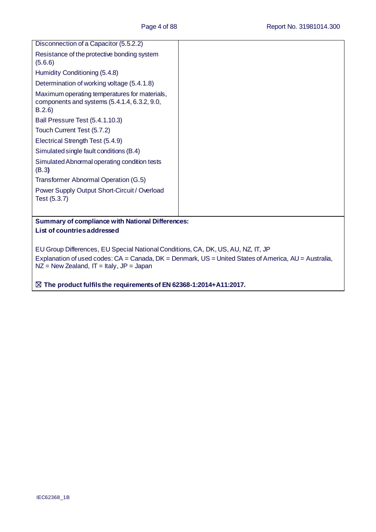| Disconnection of a Capacitor (5.5.2.2)                                                                                                                                                                                                     |  |  |  |
|--------------------------------------------------------------------------------------------------------------------------------------------------------------------------------------------------------------------------------------------|--|--|--|
| Resistance of the protective bonding system<br>(5.6.6)                                                                                                                                                                                     |  |  |  |
| Humidity Conditioning (5.4.8)                                                                                                                                                                                                              |  |  |  |
| Determination of working voltage (5.4.1.8)                                                                                                                                                                                                 |  |  |  |
| Maximum operating temperatures for materials,<br>components and systems (5.4.1.4, 6.3.2, 9.0,<br>B.2.6                                                                                                                                     |  |  |  |
| Ball Pressure Test (5.4.1.10.3)                                                                                                                                                                                                            |  |  |  |
| Touch Current Test (5.7.2)                                                                                                                                                                                                                 |  |  |  |
| Electrical Strength Test (5.4.9)                                                                                                                                                                                                           |  |  |  |
| Simulated single fault conditions (B.4)                                                                                                                                                                                                    |  |  |  |
| Simulated Abnormal operating condition tests<br>(B.3)                                                                                                                                                                                      |  |  |  |
| <b>Transformer Abnormal Operation (G.5)</b>                                                                                                                                                                                                |  |  |  |
| Power Supply Output Short-Circuit / Overload<br>Test (5.3.7)                                                                                                                                                                               |  |  |  |
| <b>Summary of compliance with National Differences:</b>                                                                                                                                                                                    |  |  |  |
| List of countries addressed                                                                                                                                                                                                                |  |  |  |
| EU Group Differences, EU Special National Conditions, CA, DK, US, AU, NZ, IT, JP<br>Explanation of used codes: CA = Canada, DK = Denmark, US = United States of America, AU = Australia,<br>$NZ$ = New Zealand, $IT$ = Italy, $JP$ = Japan |  |  |  |
| $\boxtimes$ The product fulfils the requirements of EN 62368-1:2014+A11:2017.                                                                                                                                                              |  |  |  |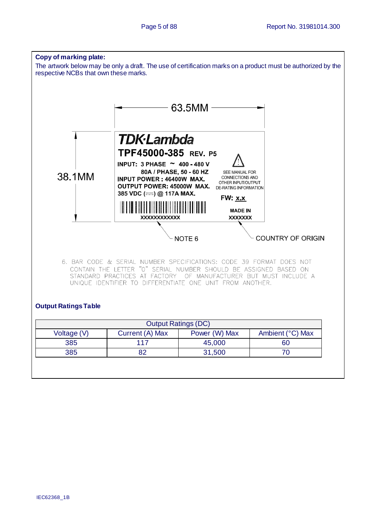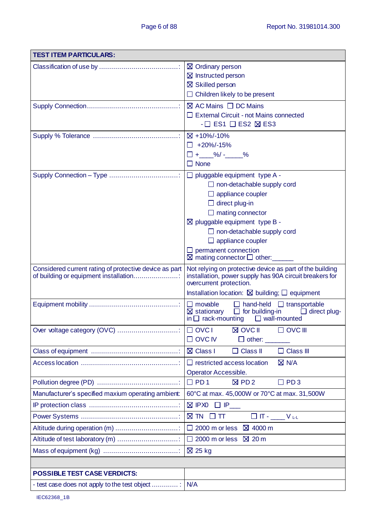| <b>TEST ITEM PARTICULARS:</b>                                                                   |                                                                                                                                                                                                                                                                                                                                                    |  |  |
|-------------------------------------------------------------------------------------------------|----------------------------------------------------------------------------------------------------------------------------------------------------------------------------------------------------------------------------------------------------------------------------------------------------------------------------------------------------|--|--|
|                                                                                                 | ⊠ Ordinary person<br>$\boxtimes$ Instructed person<br>⊠ Skilled person<br>$\Box$ Children likely to be present                                                                                                                                                                                                                                     |  |  |
|                                                                                                 | $\boxtimes$ AC Mains $\Box$ DC Mains<br>□ External Circuit - not Mains connected<br>$- \square$ ES1 $\square$ ES2 $\boxtimes$ ES3                                                                                                                                                                                                                  |  |  |
|                                                                                                 | ⊠ +10%/-10%<br>$\Box$ +20%/-15%<br>$\Box + \_\_\%$ /- $\_\%$<br>$\square$ None                                                                                                                                                                                                                                                                     |  |  |
|                                                                                                 | $\Box$ pluggable equipment type A -<br>$\Box$ non-detachable supply cord<br>$\Box$ appliance coupler<br>$\Box$ direct plug-in<br>$\Box$ mating connector<br>$\boxtimes$ pluggable equipment type B -<br>$\Box$ non-detachable supply cord<br>$\Box$ appliance coupler<br>$\Box$ permanent connection<br>$\boxtimes$ mating connector $\Box$ other: |  |  |
| Considered current rating of protective device as part<br>of building or equipment installation | Not relying on protective device as part of the building<br>installation, power supply has 90A circuit breakers for<br>overcurrent protection.<br>Installation location: $\boxtimes$ building; $\Box$ equipment                                                                                                                                    |  |  |
|                                                                                                 | $\Box$ movable<br>$\Box$ hand-held $\Box$ transportable<br>$\Box$ for building-in<br>$\boxtimes$ stationary<br>$\Box$ direct plug-<br>in $\Box$ rack-mounting $\Box$ wall-mounted                                                                                                                                                                  |  |  |
|                                                                                                 | <b>⊠ OVC II</b><br>$\Box$ OVC III<br>$\Box$ OVC IV<br>$\Box$ other: $\_\_$                                                                                                                                                                                                                                                                         |  |  |
|                                                                                                 | <b>⊠</b> Class I<br>$\Box$ Class III<br>$\Box$ Class II                                                                                                                                                                                                                                                                                            |  |  |
|                                                                                                 | $\Box$ restricted access location<br>$\boxtimes$ N/A<br>Operator Accessible.                                                                                                                                                                                                                                                                       |  |  |
|                                                                                                 | $\Box$ PD 1<br>PD <sub>3</sub><br>$\boxtimes$ PD 2<br>П                                                                                                                                                                                                                                                                                            |  |  |
| Manufacturer's specified maxium operating ambient:                                              | 60°C at max. 45,000W or 70°C at max. 31,500W                                                                                                                                                                                                                                                                                                       |  |  |
|                                                                                                 | $\boxtimes$ IPXO $\Box$ IP__                                                                                                                                                                                                                                                                                                                       |  |  |
| $\boxtimes$ TN $\Box$ TT<br>$\Box$ IT - $\_\_\_\_\_\_\_\_\_\_\$                                 |                                                                                                                                                                                                                                                                                                                                                    |  |  |
| Altitude during operation (m)                                                                   | 2000 m or less $\boxtimes$ 4000 m                                                                                                                                                                                                                                                                                                                  |  |  |
| Altitude of test laboratory (m)                                                                 | 2000 m or less $\boxtimes$ 20 m                                                                                                                                                                                                                                                                                                                    |  |  |
|                                                                                                 | $\boxtimes$ 25 kg                                                                                                                                                                                                                                                                                                                                  |  |  |
|                                                                                                 |                                                                                                                                                                                                                                                                                                                                                    |  |  |
| <b>POSSIBLE TEST CASE VERDICTS:</b>                                                             |                                                                                                                                                                                                                                                                                                                                                    |  |  |
| - test case does not apply to the test object                                                   | N/A                                                                                                                                                                                                                                                                                                                                                |  |  |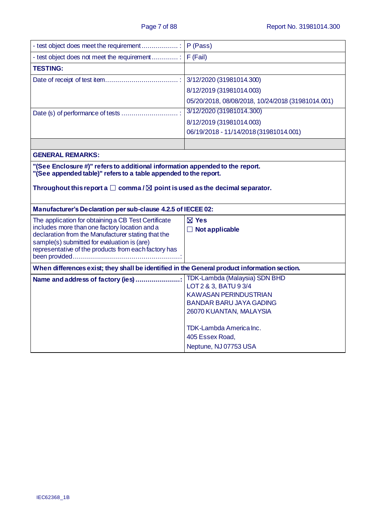|                                                                                                                                                                                                                                                                   | P (Pass)                                          |  |  |
|-------------------------------------------------------------------------------------------------------------------------------------------------------------------------------------------------------------------------------------------------------------------|---------------------------------------------------|--|--|
|                                                                                                                                                                                                                                                                   |                                                   |  |  |
| <b>TESTING:</b>                                                                                                                                                                                                                                                   |                                                   |  |  |
|                                                                                                                                                                                                                                                                   | 3/12/2020 (31981014.300)                          |  |  |
|                                                                                                                                                                                                                                                                   | 8/12/2019 (31981014.003)                          |  |  |
|                                                                                                                                                                                                                                                                   | 05/20/2018, 08/08/2018, 10/24/2018 (31981014.001) |  |  |
|                                                                                                                                                                                                                                                                   | 3/12/2020 (31981014.300)                          |  |  |
|                                                                                                                                                                                                                                                                   | 8/12/2019 (31981014.003)                          |  |  |
|                                                                                                                                                                                                                                                                   | 06/19/2018 - 11/14/2018 (31981014.001)            |  |  |
|                                                                                                                                                                                                                                                                   |                                                   |  |  |
| <b>GENERAL REMARKS:</b>                                                                                                                                                                                                                                           |                                                   |  |  |
| "(See appended table)" refers to a table appended to the report.<br>Throughout this report a $\square$ comma / $\square$ point is used as the decimal separator.                                                                                                  |                                                   |  |  |
| Manufacturer's Declaration per sub-clause 4.2.5 of IECEE 02:                                                                                                                                                                                                      |                                                   |  |  |
| The application for obtaining a CB Test Certificate<br>includes more than one factory location and a<br>declaration from the Manufacturer stating that the<br>sample(s) submitted for evaluation is (are)<br>representative of the products from each factory has | $\boxtimes$ Yes<br>$\Box$ Not applicable          |  |  |
| When differences exist; they shall be identified in the General product information section.                                                                                                                                                                      |                                                   |  |  |
| Name and address of factory (ies)                                                                                                                                                                                                                                 |                                                   |  |  |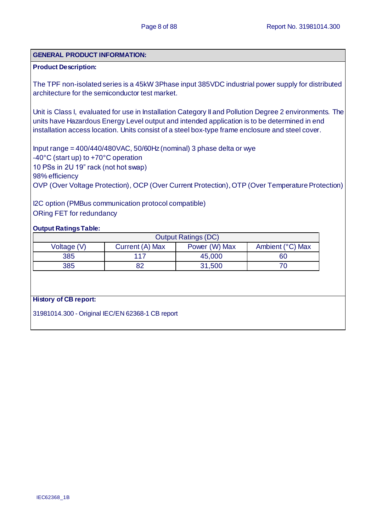### **GENERAL PRODUCT INFORMATION:**

## **Product Description:**

The TPF non-isolated series is a 45kW 3Phase input 385VDC industrial power supply for distributed architecture for the semiconductor test market.

Unit is Class I, evaluated for use in Installation Category II and Pollution Degree 2 environments. The units have Hazardous Energy Level output and intended application is to be determined in end installation access location. Units consist of a steel box-type frame enclosure and steel cover.

Input range = 400/440/480VAC, 50/60Hz (nominal) 3 phase delta or wye -40°C (start up) to +70°C operation 10 PSs in 2U 19" rack (not hot swap) 98% efficiency OVP (Over Voltage Protection), OCP (Over Current Protection), OTP (Over Temperature Protection)

I2C option (PMBus communication protocol compatible) ORing FET for redundancy

### **Output Ratings Table:**

| <b>Output Ratings (DC)</b>                                          |     |        |    |  |
|---------------------------------------------------------------------|-----|--------|----|--|
| Ambient (°C) Max<br>Power (W) Max<br>Current (A) Max<br>Voltage (V) |     |        |    |  |
| 385                                                                 | 117 | 45,000 | 60 |  |
| 82<br>385                                                           |     | 31,500 |    |  |

#### **History of CB report:**

31981014.300 - Original IEC/EN 62368-1 CB report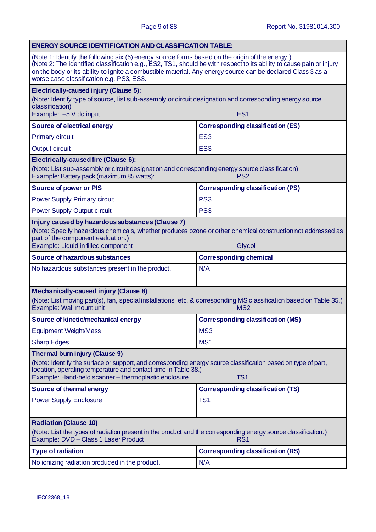| <b>ENERGY SOURCE IDENTIFICATION AND CLASSIFICATION TABLE:</b>                                                                                                                                                                                                                                                                                                                      |                                                 |  |  |
|------------------------------------------------------------------------------------------------------------------------------------------------------------------------------------------------------------------------------------------------------------------------------------------------------------------------------------------------------------------------------------|-------------------------------------------------|--|--|
| (Note 1: Identify the following six (6) energy source forms based on the origin of the energy.)<br>(Note 2: The identified classification e.g., ES2, TS1, should be with respect to its ability to cause pain or injury<br>on the body or its ability to ignite a combustible material. Any energy source can be declared Class 3 as a<br>worse case classification e.g. PS3, ES3. |                                                 |  |  |
| Electrically-caused injury (Clause 5):                                                                                                                                                                                                                                                                                                                                             |                                                 |  |  |
| (Note: Identify type of source, list sub-assembly or circuit designation and corresponding energy source<br>classification)<br>Example: +5 V dc input<br>ES <sub>1</sub>                                                                                                                                                                                                           |                                                 |  |  |
| <b>Source of electrical energy</b>                                                                                                                                                                                                                                                                                                                                                 | <b>Corresponding classification (ES)</b>        |  |  |
| <b>Primary circuit</b>                                                                                                                                                                                                                                                                                                                                                             | ES <sub>3</sub>                                 |  |  |
| <b>Output circuit</b>                                                                                                                                                                                                                                                                                                                                                              | ES <sub>3</sub>                                 |  |  |
| Electrically-caused fire (Clause 6):                                                                                                                                                                                                                                                                                                                                               |                                                 |  |  |
| (Note: List sub-assembly or circuit designation and corresponding energy source classification)<br>Example: Battery pack (maximum 85 watts):                                                                                                                                                                                                                                       | PS <sub>2</sub>                                 |  |  |
| <b>Source of power or PIS</b>                                                                                                                                                                                                                                                                                                                                                      | <b>Corresponding classification (PS)</b>        |  |  |
| <b>Power Supply Primary circuit</b>                                                                                                                                                                                                                                                                                                                                                | PS <sub>3</sub>                                 |  |  |
| <b>Power Supply Output circuit</b>                                                                                                                                                                                                                                                                                                                                                 | PS <sub>3</sub>                                 |  |  |
| Injury caused by hazardous substances (Clause 7)<br>(Note: Specify hazardous chemicals, whether produces ozone or other chemical construction not addressed as<br>part of the component evaluation.)<br>Example: Liquid in filled component<br>Glycol                                                                                                                              |                                                 |  |  |
| <b>Source of hazardous substances</b>                                                                                                                                                                                                                                                                                                                                              | <b>Corresponding chemical</b>                   |  |  |
| No hazardous substances present in the product.                                                                                                                                                                                                                                                                                                                                    | N/A                                             |  |  |
|                                                                                                                                                                                                                                                                                                                                                                                    |                                                 |  |  |
| <b>Mechanically-caused injury (Clause 8)</b><br>(Note: List moving part(s), fan, special installations, etc. & corresponding MS classification based on Table 35.)<br>Example: Wall mount unit                                                                                                                                                                                     | MS <sub>2</sub>                                 |  |  |
| Source of kinetic/mechanical energy                                                                                                                                                                                                                                                                                                                                                | <b>Corresponding classification (MS)</b>        |  |  |
| <b>Equipment Weight/Mass</b>                                                                                                                                                                                                                                                                                                                                                       | MS3                                             |  |  |
| <b>Sharp Edges</b>                                                                                                                                                                                                                                                                                                                                                                 | MS <sub>1</sub>                                 |  |  |
| Thermal burn injury (Clause 9)<br>(Note: Identify the surface or support, and corresponding energy source classification based on type of part,<br>location, operating temperature and contact time in Table 38.)<br>Example: Hand-held scanner - thermoplastic enclosure<br>TS <sub>1</sub>                                                                                       |                                                 |  |  |
| <b>Source of thermal energy</b>                                                                                                                                                                                                                                                                                                                                                    | <b>Corresponding classification (TS)</b>        |  |  |
| <b>Power Supply Enclosure</b>                                                                                                                                                                                                                                                                                                                                                      | TS <sub>1</sub>                                 |  |  |
|                                                                                                                                                                                                                                                                                                                                                                                    |                                                 |  |  |
| <b>Radiation (Clause 10)</b><br>(Note: List the types of radiation present in the product and the corresponding energy source classification.)                                                                                                                                                                                                                                     |                                                 |  |  |
| Example: DVD - Class 1 Laser Product<br>RS <sub>1</sub>                                                                                                                                                                                                                                                                                                                            |                                                 |  |  |
|                                                                                                                                                                                                                                                                                                                                                                                    |                                                 |  |  |
| <b>Type of radiation</b><br>No ionizing radiation produced in the product.                                                                                                                                                                                                                                                                                                         | <b>Corresponding classification (RS)</b><br>N/A |  |  |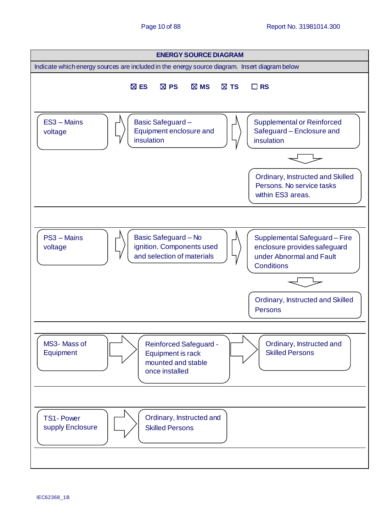